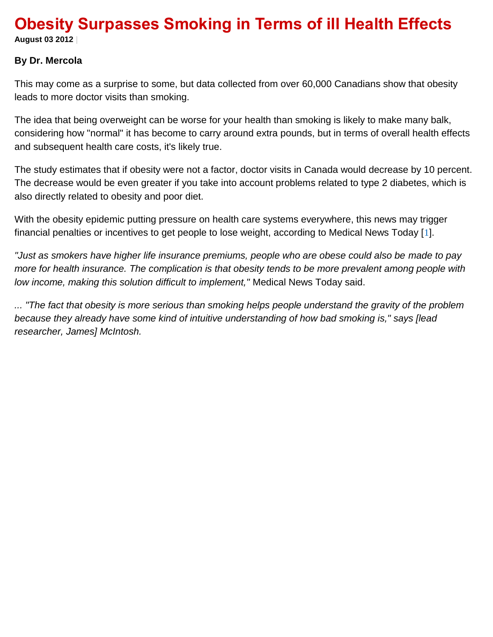# **Obesity Surpasses Smoking in Terms of ill Health Effects**

**August 03 2012 |**

### **By Dr. Mercola**

This may come as a surprise to some, but data collected from over 60,000 Canadians show that obesity leads to more doctor visits than smoking.

The idea that being overweight can be worse for your health than smoking is likely to make many balk, considering how "normal" it has become to carry around extra pounds, but in terms of overall health effects and subsequent health care costs, it's likely true.

The study estimates that if obesity were not a factor, doctor visits in Canada would decrease by 10 percent. The decrease would be even greater if you take into account problems related to type 2 diabetes, which is also directly related to obesity and poor diet.

With the obesity epidemic putting pressure on health care systems everywhere, this news may trigger financial penalties or incentives to get people to lose weight, according to Medical News Today [[1](http://fitness.mercola.com/sites/fitness/archive/2012/08/03/obesity-surpasses-smoking.aspx#_edn1)].

*"Just as smokers have higher life insurance premiums, people who are obese could also be made to pay more for health insurance. The complication is that obesity tends to be more prevalent among people with low income, making this solution difficult to implement,"* Medical News Today said.

*... "The fact that obesity is more serious than smoking helps people understand the gravity of the problem because they already have some kind of intuitive understanding of how bad smoking is," says [lead researcher, James] McIntosh.*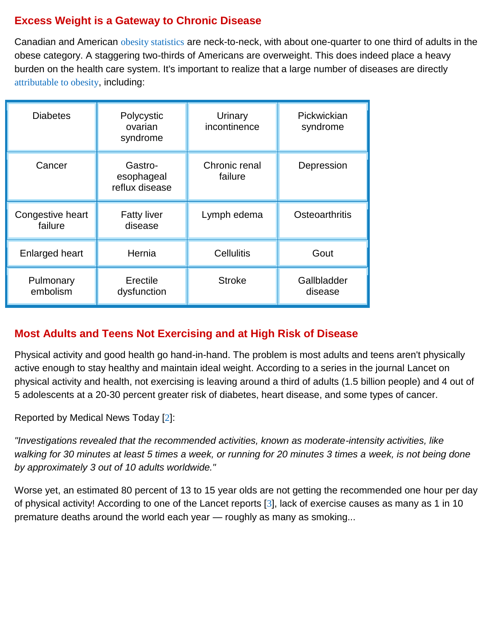# **Excess Weight is a Gateway to Chronic Disease**

Canadian and American [obesity statistics](http://articles.mercola.com/sites/articles/archive/2010/08/17/obesity-rates-keep-rising.aspx) are neck-to-neck, with about one-quarter to one third of adults in the obese category. A staggering two-thirds of Americans are overweight. This does indeed place a heavy burden on the health care system. It's important to realize that a large number of diseases are directly [attributable to obesity](http://articles.mercola.com/sites/articles/archive/2008/09/02/20-diseases-and-conditions-directly-attributable-to-being-overweight.aspx), including:

| <b>Diabetes</b>             | Polycystic<br>ovarian<br>syndrome       | Urinary<br>incontinence  | Pickwickian<br>syndrome |
|-----------------------------|-----------------------------------------|--------------------------|-------------------------|
| Cancer                      | Gastro-<br>esophageal<br>reflux disease | Chronic renal<br>failure | Depression              |
| Congestive heart<br>failure | <b>Fatty liver</b><br>disease           | Lymph edema              | Osteoarthritis          |
| <b>Enlarged heart</b>       | Hernia                                  | <b>Cellulitis</b>        | Gout                    |
| Pulmonary<br>embolism       | Erectile<br>dysfunction                 | <b>Stroke</b>            | Gallbladder<br>disease  |

### **Most Adults and Teens Not Exercising and at High Risk of Disease**

Physical activity and good health go hand-in-hand. The problem is most adults and teens aren't physically active enough to stay healthy and maintain ideal weight. According to a series in the journal Lancet on physical activity and health, not exercising is leaving around a third of adults (1.5 billion people) and 4 out of 5 adolescents at a 20-30 percent greater risk of diabetes, heart disease, and some types of cancer.

Reported by Medical News Today [[2](http://fitness.mercola.com/sites/fitness/archive/2012/08/03/obesity-surpasses-smoking.aspx#_edn2)]:

*"Investigations revealed that the recommended activities, known as moderate-intensity activities, like walking for 30 minutes at least 5 times a week, or running for 20 minutes 3 times a week, is not being done by approximately 3 out of 10 adults worldwide."*

Worse yet, an estimated 80 percent of 13 to 15 year olds are not getting the recommended one hour per day of physical activity! According to one of the Lancet reports [[3](http://fitness.mercola.com/sites/fitness/archive/2012/08/03/obesity-surpasses-smoking.aspx#_edn3)], lack of exercise causes as many as 1 in 10 premature deaths around the world each year — roughly as many as smoking...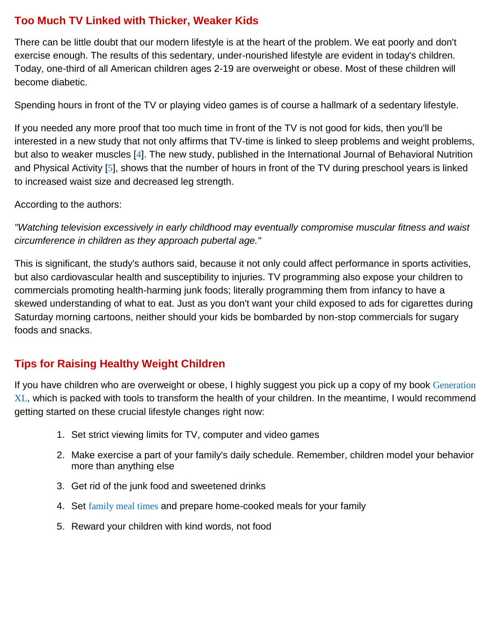# **Too Much TV Linked with Thicker, Weaker Kids**

There can be little doubt that our modern lifestyle is at the heart of the problem. We eat poorly and don't exercise enough. The results of this sedentary, under-nourished lifestyle are evident in today's children. Today, one-third of all American children ages 2-19 are overweight or obese. Most of these children will become diabetic.

Spending hours in front of the TV or playing video games is of course a hallmark of a sedentary lifestyle.

If you needed any more proof that too much time in front of the TV is not good for kids, then you'll be interested in a new study that not only affirms that TV-time is linked to sleep problems and weight problems, but also to weaker muscles [[4](http://fitness.mercola.com/sites/fitness/archive/2012/08/03/obesity-surpasses-smoking.aspx#_edn4)]. The new study, published in the International Journal of Behavioral Nutrition and Physical Activity [[5](http://fitness.mercola.com/sites/fitness/archive/2012/08/03/obesity-surpasses-smoking.aspx#_edn5)], shows that the number of hours in front of the TV during preschool years is linked to increased waist size and decreased leg strength.

According to the authors:

*"Watching television excessively in early childhood may eventually compromise muscular fitness and waist circumference in children as they approach pubertal age."*

This is significant, the study's authors said, because it not only could affect performance in sports activities, but also cardiovascular health and susceptibility to injuries. TV programming also expose your children to commercials promoting health-harming junk foods; literally programming them from infancy to have a skewed understanding of what to eat. Just as you don't want your child exposed to ads for cigarettes during Saturday morning cartoons, neither should your kids be bombarded by non-stop commercials for sugary foods and snacks.

# **Tips for Raising Healthy Weight Children**

If you have children who are overweight or obese, I highly suggest you pick up a copy of my book Generation [XL](http://products.mercola.com/generation-xl/), which is packed with tools to transform the health of your children. In the meantime, I would recommend getting started on these crucial lifestyle changes right now:

- 1. Set strict viewing limits for TV, computer and video games
- 2. Make exercise a part of your family's daily schedule. Remember, children model your behavior more than anything else
- 3. Get rid of the junk food and sweetened drinks
- 4. Set [family meal times](http://articles.mercola.com/sites/articles/archive/2006/06/20/seven-secret-ways-to-improve-dinner-with-your-family.aspx) and prepare home-cooked meals for your family
- 5. Reward your children with kind words, not food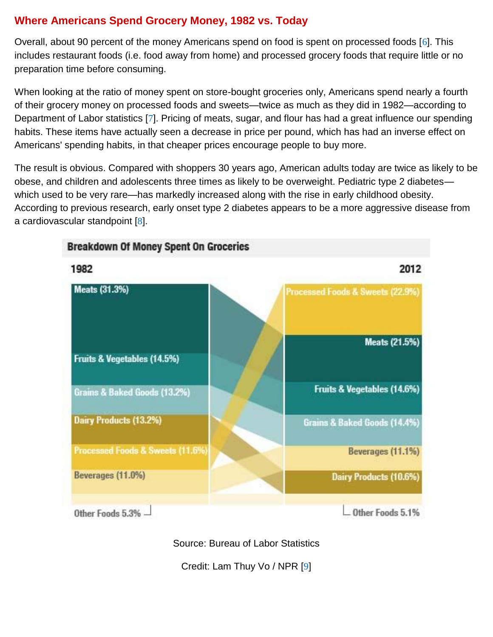# **Where Americans Spend Grocery Money, 1982 vs. Today**

Overall, about 90 percent of the money Americans spend on food is spent on processed foods [[6](http://fitness.mercola.com/sites/fitness/archive/2012/08/03/obesity-surpasses-smoking.aspx#_edn6)]. This includes restaurant foods (i.e. food away from home) and processed grocery foods that require little or no preparation time before consuming.

When looking at the ratio of money spent on store-bought groceries only, Americans spend nearly a fourth of their grocery money on processed foods and sweets—twice as much as they did in 1982—according to Department of Labor statistics [[7](http://fitness.mercola.com/sites/fitness/archive/2012/08/03/obesity-surpasses-smoking.aspx#_edn7)]. Pricing of meats, sugar, and flour has had a great influence our spending habits. These items have actually seen a decrease in price per pound, which has had an inverse effect on Americans' spending habits, in that cheaper prices encourage people to buy more.

The result is obvious. Compared with shoppers 30 years ago, American adults today are twice as likely to be obese, and children and adolescents three times as likely to be overweight. Pediatric type 2 diabetes which used to be very rare—has markedly increased along with the rise in early childhood obesity. According to previous research, early onset type 2 diabetes appears to be a more aggressive disease from a cardiovascular standpoint [[8](http://fitness.mercola.com/sites/fitness/archive/2012/08/03/obesity-surpasses-smoking.aspx#_edn8)].



### **Breakdown Of Money Spent On Groceries**

Source: Bureau of Labor Statistics

Credit: Lam Thuy Vo / NPR [[9](http://fitness.mercola.com/sites/fitness/archive/2012/08/03/obesity-surpasses-smoking.aspx#_edn9)]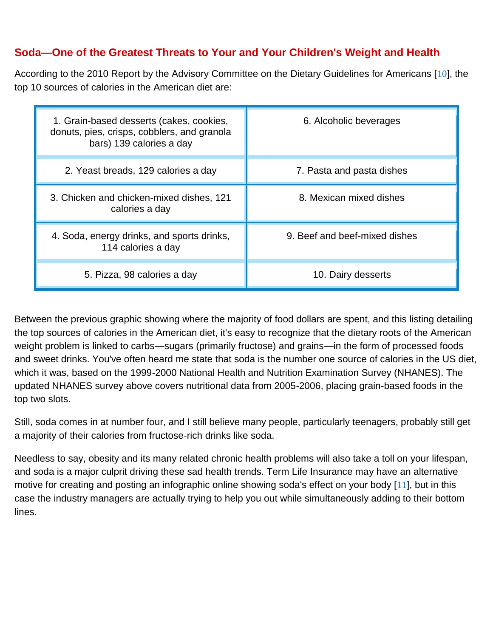## **Soda—One of the Greatest Threats to Your and Your Children's Weight and Health**

According to the 2010 Report by the Advisory Committee on the Dietary Guidelines for Americans [[10](http://fitness.mercola.com/sites/fitness/archive/2012/08/03/obesity-surpasses-smoking.aspx#_edn10)], the top 10 sources of calories in the American diet are:

| 1. Grain-based desserts (cakes, cookies,<br>donuts, pies, crisps, cobblers, and granola<br>bars) 139 calories a day | 6. Alcoholic beverages        |  |
|---------------------------------------------------------------------------------------------------------------------|-------------------------------|--|
| 2. Yeast breads, 129 calories a day                                                                                 | 7. Pasta and pasta dishes     |  |
| 3. Chicken and chicken-mixed dishes, 121<br>calories a day                                                          | 8. Mexican mixed dishes       |  |
| 4. Soda, energy drinks, and sports drinks,<br>114 calories a day                                                    | 9. Beef and beef-mixed dishes |  |
| 5. Pizza, 98 calories a day                                                                                         | 10. Dairy desserts            |  |

Between the previous graphic showing where the majority of food dollars are spent, and this listing detailing the top sources of calories in the American diet, it's easy to recognize that the dietary roots of the American weight problem is linked to carbs—sugars (primarily fructose) and grains—in the form of processed foods and sweet drinks. You've often heard me state that soda is the number one source of calories in the US diet, which it was, based on the 1999-2000 National Health and Nutrition Examination Survey (NHANES). The updated NHANES survey above covers nutritional data from 2005-2006, placing grain-based foods in the top two slots.

Still, soda comes in at number four, and I still believe many people, particularly teenagers, probably still get a majority of their calories from fructose-rich drinks like soda.

Needless to say, obesity and its many related chronic health problems will also take a toll on your lifespan, and soda is a major culprit driving these sad health trends. Term Life Insurance may have an alternative motive for creating and posting an infographic online showing soda's effect on your body [[11](http://fitness.mercola.com/sites/fitness/archive/2012/08/03/obesity-surpasses-smoking.aspx#_edn11)], but in this case the industry managers are actually trying to help you out while simultaneously adding to their bottom lines.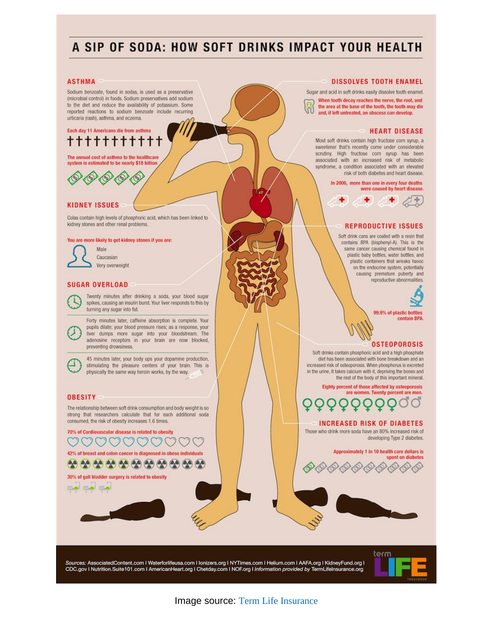# A SIP OF SODA: HOW SOFT DRINKS IMPACT YOUR HEALTH

#### **ASTHMA**

Sodium benzoate, found in sodas, is used as a preservative (microbial control) in foods. Sodium preservatives add sodium to the diet and reduce the availability of potassium. Some reported reactions to sodium benzoate include recurring urticaria (rash), asthma, and eczema.

### Each day 11 Americans die from asthma ++++++++

The annual cost of asthma to the healthcare system is estimated to be nearly \$18 billion



#### **KIDNEY ISSUES**

Colas contain high levels of phosphoric acid, which has been linked to kidney stones and other renal problems

#### You are more likely to get kidney stones if you are:



Caucasian Very overweight

#### **SUGAR OVERLOAD**



Twenty minutes after drinking a soda, your blood sugar spikes, causing an insulin burst. Your liver responds to this by turning any sugar into fat.

Forty minutes later, caffeine absorption is complete. Your pupils dilate; your blood pressure rises; as a response, your liver dumps more sugar into your bloodstream. The adenosine receptors in your brain are now blocked, preventing drowsiness.

45 minutes later, your body ups your dopamine production, stimulating the pleasure centers of your brain. This is physically the same way heroin works, by the way.

#### **OBESITY**

The relationship between soft drink consumption and body weight is so strong that researchers calculate that for each additional soda consumed, the risk of obesity increases 1.6 times.

70% of Cardiovascular disease is related to obesity 42% of breast and colon cancer is diagnosed in obese individuals 

30% of gall bladder surgery is related to obesity



Sugar and acid in soft drinks easily dissolve tooth enamel. When tooth decay reaches the nerve, the root, and the area at the base of the tooth, the tooth may die and, if left untreated, an abscess can develop.

#### **HEART DISEASE**

Most soft drinks contain high fructose corn syrup, a sweetener that's recently come under considerable scrutiny. High fructose corn syrup has been associated with an increased risk of metabolic syndrome, a condition associated with an elevated risk of both diabetes and heart disease.

> In 2006, more than one in every four deaths were caused by heart disease.



#### **REPRODUCTIVE ISSUES**

Soft drink cans are coated with a resin that contains BPA (bisphenyl-A). This is the same cancer causing chemical found in plastic baby bottles, water bottles, and plastic containers that wreaks havoc on the endocrine system, potentially causing premature puberty and reproductive abnormalities.



99.9% of plastic bottles contain BPA

### **OSTEOPOROSIS**

Soft drinks contain phosphoric acid and a high phosphate diet has been associated with bone breakdown and an increased risk of osteoporosis. When phosphorus is excreted in the urine, it takes calcium with it, depriving the bones and the rest of the body of this important mineral.

Eighty percent of those affected by osteoporosis are women. Twenty percent are men.

### **INCREASED RISK OF DIABETES**

Those who drink more soda have an 80% increased risk of developing Type 2 diabetes.

> Approximately 1 in 10 health care dollars is spent on diabetes

Sources: AssociatedContent.com | Waterforlifeusa.com | Ionizers.org | NYTimes.com | Helium.com | AAFA.org | KidneyFund.org | CDC.gov I Nutrition.Suite101.com I AmericanHeart.org I Chetday.com I NOF.org I Information provided by TermLifeInsurance.org



Image source: [Term Life Insurance](http://www.termlifeinsurance.org/harmful-soda/)